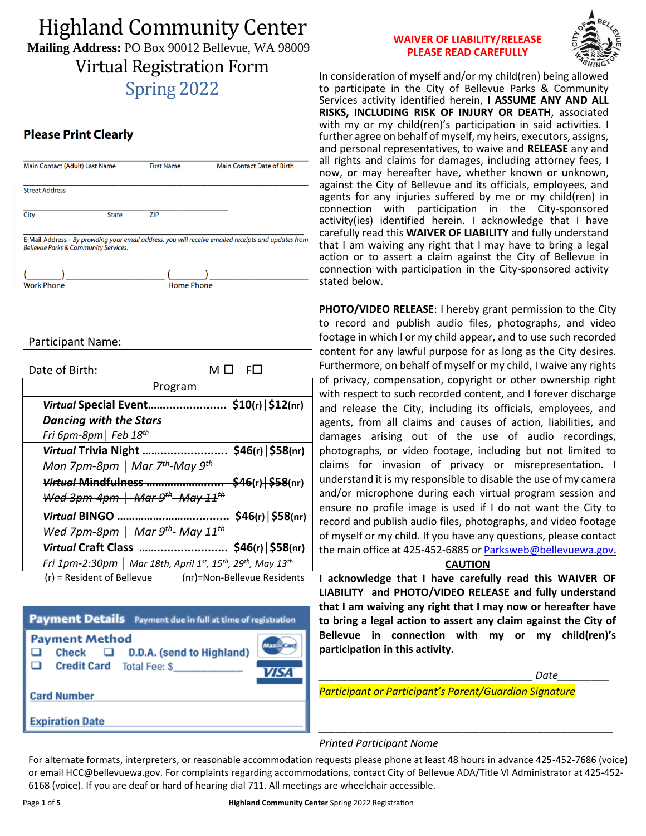# Highland Community Center **Mailing Address:** PO Box 90012 Bellevue, WA 98009 Virtual Registration Form Spring 2022

### **Please Print Clearly**

|            | Main Contact (Adult) Last Name                            | <b>First Name</b> | <b>Main Contact Date of Birth</b>                                                                    |
|------------|-----------------------------------------------------------|-------------------|------------------------------------------------------------------------------------------------------|
|            | <b>Street Address</b>                                     |                   |                                                                                                      |
| City       | <b>State</b>                                              | ZIP               |                                                                                                      |
|            | <b>Bellevue Parks &amp; Community Services.</b>           |                   | E-Mail Address - By providing your email address, you will receive emailed receipts and updates from |
| Work Phone |                                                           | <b>Home Phone</b> |                                                                                                      |
|            |                                                           |                   |                                                                                                      |
|            | Participant Name:                                         |                   |                                                                                                      |
|            |                                                           |                   |                                                                                                      |
|            | Date of Birth:                                            |                   | МΠ<br>FO                                                                                             |
|            |                                                           | Program           |                                                                                                      |
|            |                                                           |                   | Virtual Special Event \$10(r)   \$12(nr)                                                             |
|            | <b>Dancing with the Stars</b>                             |                   |                                                                                                      |
|            | Fri 6pm-8pm   Feb 18 <sup>th</sup>                        |                   |                                                                                                      |
|            |                                                           |                   | Virtual Trivia Night  \$46(r)   \$58(nr)                                                             |
|            | Mon 7pm-8pm   Mar $7^{th}$ -May $9^{th}$                  |                   |                                                                                                      |
|            |                                                           |                   |                                                                                                      |
|            | $Wed$ 3pm-4pm   Mar 9 <sup>th</sup> -May 11 <sup>th</sup> |                   |                                                                                                      |
|            | <b>Virtual BINGO</b>                                      |                   | $$46(r)$ $$58(nr)$                                                                                   |

*Virtual* **Craft Class ……..................... \$46(r)│\$58(nr)** *Fri 1pm-2:30pm │ Mar 18th, April 1st, 15th, 29th, May 13th* 

(r) = Resident of Bellevue (nr)=Non-Bellevue Residents

| <b>Payment Details</b> Payment due in full at time of registration                           |                         |  |  |  |
|----------------------------------------------------------------------------------------------|-------------------------|--|--|--|
| <b>Payment Method</b><br>Check $\Box$ D.D.A. (send to Highland)<br>Credit Card Total Fee: \$ | <b>Mastill</b><br>VIS 4 |  |  |  |
| <b>Card Number</b>                                                                           |                         |  |  |  |
| <b>Expiration Date</b>                                                                       |                         |  |  |  |

#### **WAIVER OF LIABILITY/RELEASE PLEASE READ CAREFULLY**



In consideration of myself and/or my child(ren) being allowed to participate in the City of Bellevue Parks & Community Services activity identified herein, **I ASSUME ANY AND ALL RISKS, INCLUDING RISK OF INJURY OR DEATH**, associated with my or my child(ren)'s participation in said activities. I further agree on behalf of myself, my heirs, executors, assigns, and personal representatives, to waive and **RELEASE** any and all rights and claims for damages, including attorney fees, I now, or may hereafter have, whether known or unknown, against the City of Bellevue and its officials, employees, and agents for any injuries suffered by me or my child(ren) in connection with participation in the City-sponsored activity(ies) identified herein. I acknowledge that I have carefully read this **WAIVER OF LIABILITY** and fully understand that I am waiving any right that I may have to bring a legal action or to assert a claim against the City of Bellevue in connection with participation in the City-sponsored activity stated below.

**PHOTO/VIDEO RELEASE**: I hereby grant permission to the City to record and publish audio files, photographs, and video footage in which I or my child appear, and to use such recorded content for any lawful purpose for as long as the City desires. Furthermore, on behalf of myself or my child, I waive any rights of privacy, compensation, copyright or other ownership right with respect to such recorded content, and I forever discharge and release the City, including its officials, employees, and agents, from all claims and causes of action, liabilities, and damages arising out of the use of audio recordings, photographs, or video footage, including but not limited to claims for invasion of privacy or misrepresentation. I understand it is my responsible to disable the use of my camera and/or microphone during each virtual program session and ensure no profile image is used if I do not want the City to record and publish audio files, photographs, and video footage of myself or my child. If you have any questions, please contact the main office at 425-452-6885 or [Parksweb@bellevuewa.gov.](mailto:Parksweb@bellevuewa.gov)

#### **CAUTION**

**I acknowledge that I have carefully read this WAIVER OF LIABILITY and PHOTO/VIDEO RELEASE and fully understand that I am waiving any right that I may now or hereafter have to bring a legal action to assert any claim against the City of Bellevue in connection with my or my child(ren)'s participation in this activity.**

*\_\_\_\_\_\_\_\_\_\_\_\_\_\_\_\_\_\_\_\_\_\_\_\_\_\_\_\_\_\_\_\_\_\_\_\_\_\_\_\_\_\_\_\_\_\_\_\_\_\_\_*

*\_\_\_\_\_\_\_\_\_\_\_\_\_\_\_\_\_\_\_\_\_\_\_\_\_\_\_\_\_\_\_\_\_\_\_\_\_ Date\_\_\_\_\_\_\_\_\_*

*Participant or Participant's Parent/Guardian Signature*

#### *Printed Participant Name*

For alternate formats, interpreters, or reasonable accommodation requests please phone at least 48 hours in advance 425-452-7686 (voice) or email HCC@bellevuewa.gov. For complaints regarding accommodations, contact City of Bellevue ADA/Title VI Administrator at 425-452- 6168 (voice). If you are deaf or hard of hearing dial 711. All meetings are wheelchair accessible.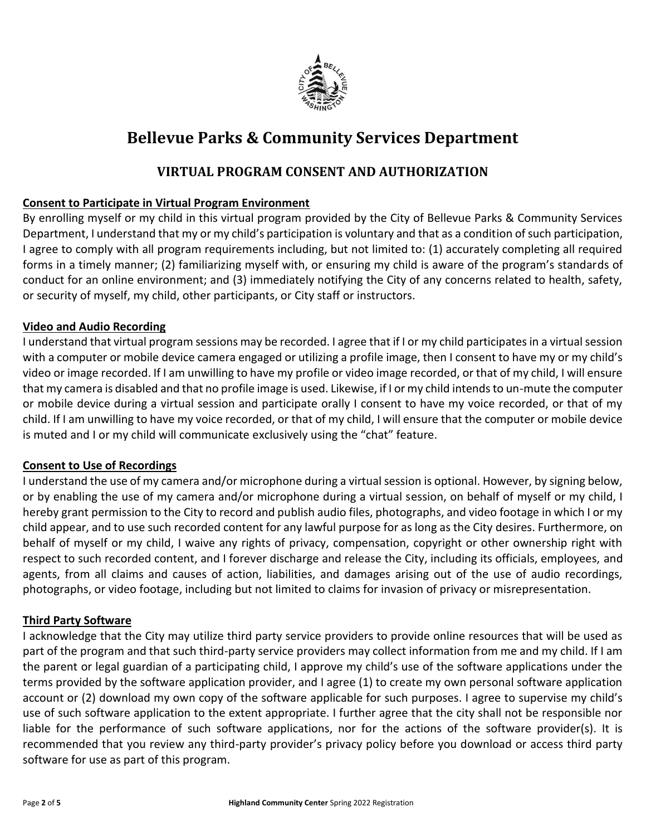

# **Bellevue Parks & Community Services Department**

### **VIRTUAL PROGRAM CONSENT AND AUTHORIZATION**

#### **Consent to Participate in Virtual Program Environment**

By enrolling myself or my child in this virtual program provided by the City of Bellevue Parks & Community Services Department, I understand that my or my child's participation is voluntary and that as a condition of such participation, I agree to comply with all program requirements including, but not limited to: (1) accurately completing all required forms in a timely manner; (2) familiarizing myself with, or ensuring my child is aware of the program's standards of conduct for an online environment; and (3) immediately notifying the City of any concerns related to health, safety, or security of myself, my child, other participants, or City staff or instructors.

#### **Video and Audio Recording**

I understand that virtual program sessions may be recorded. I agree that if I or my child participates in a virtual session with a computer or mobile device camera engaged or utilizing a profile image, then I consent to have my or my child's video or image recorded. If I am unwilling to have my profile or video image recorded, or that of my child, I will ensure that my camera is disabled and that no profile image is used. Likewise, if I or my child intends to un-mute the computer or mobile device during a virtual session and participate orally I consent to have my voice recorded, or that of my child. If I am unwilling to have my voice recorded, or that of my child, I will ensure that the computer or mobile device is muted and I or my child will communicate exclusively using the "chat" feature.

#### **Consent to Use of Recordings**

I understand the use of my camera and/or microphone during a virtual session is optional. However, by signing below, or by enabling the use of my camera and/or microphone during a virtual session, on behalf of myself or my child, I hereby grant permission to the City to record and publish audio files, photographs, and video footage in which I or my child appear, and to use such recorded content for any lawful purpose for as long as the City desires. Furthermore, on behalf of myself or my child, I waive any rights of privacy, compensation, copyright or other ownership right with respect to such recorded content, and I forever discharge and release the City, including its officials, employees, and agents, from all claims and causes of action, liabilities, and damages arising out of the use of audio recordings, photographs, or video footage, including but not limited to claims for invasion of privacy or misrepresentation.

#### **Third Party Software**

I acknowledge that the City may utilize third party service providers to provide online resources that will be used as part of the program and that such third-party service providers may collect information from me and my child. If I am the parent or legal guardian of a participating child, I approve my child's use of the software applications under the terms provided by the software application provider, and I agree (1) to create my own personal software application account or (2) download my own copy of the software applicable for such purposes. I agree to supervise my child's use of such software application to the extent appropriate. I further agree that the city shall not be responsible nor liable for the performance of such software applications, nor for the actions of the software provider(s). It is recommended that you review any third-party provider's privacy policy before you download or access third party software for use as part of this program.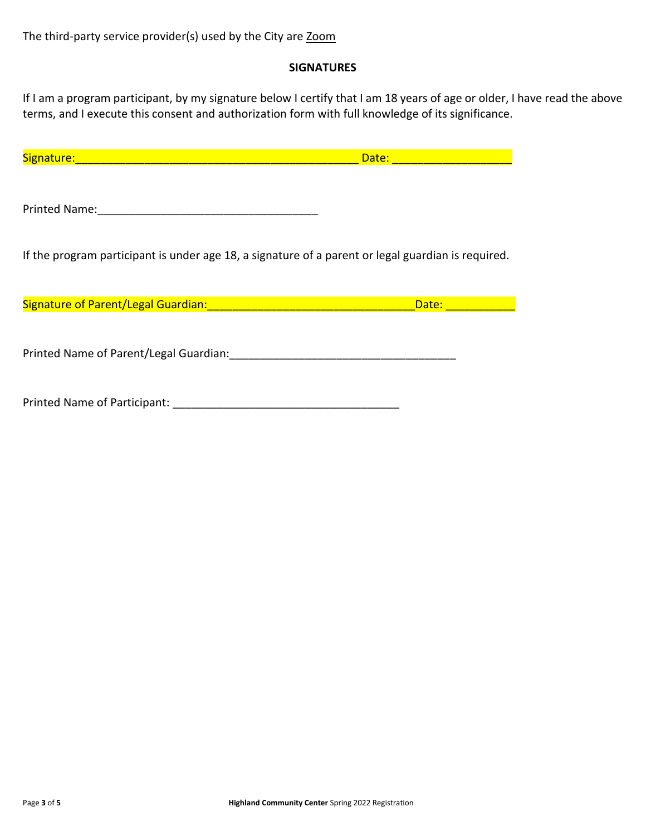#### **SIGNATURES**

If I am a program participant, by my signature below I certify that I am 18 years of age or older, I have read the above terms, and I execute this consent and authorization form with full knowledge of its significance.

| Signature:<br><u> 1999 - Johann Barn, mars eta bat eta bat e</u>                                   | Date:              |
|----------------------------------------------------------------------------------------------------|--------------------|
| Printed Name:                                                                                      |                    |
| If the program participant is under age 18, a signature of a parent or legal guardian is required. |                    |
|                                                                                                    | Date: <b>Date:</b> |
| Printed Name of Parent/Legal Guardian:                                                             |                    |
| Printed Name of Participant: ____                                                                  |                    |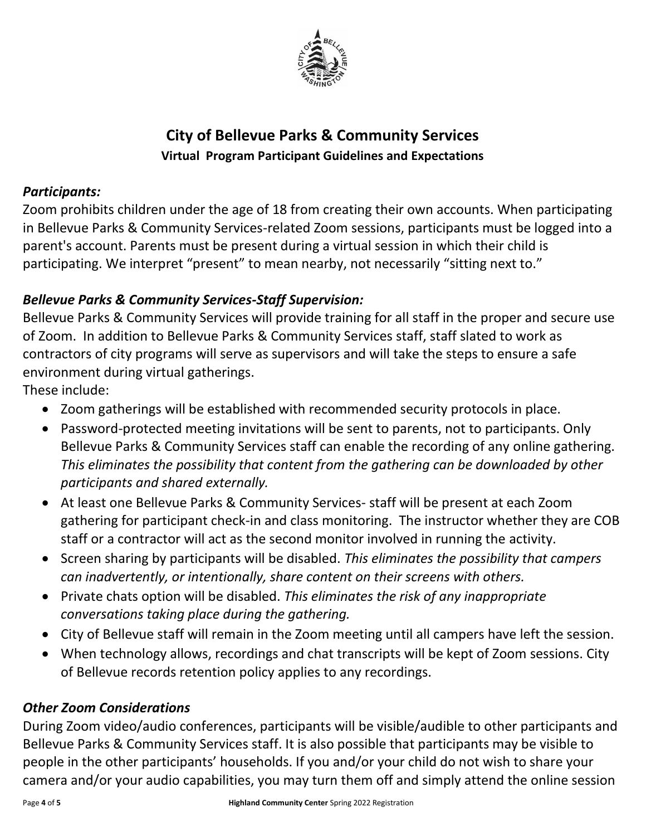

# **City of Bellevue Parks & Community Services Virtual Program Participant Guidelines and Expectations**

## *Participants:*

Zoom prohibits children under the age of 18 from creating their own accounts. When participating in Bellevue Parks & Community Services-related Zoom sessions, participants must be logged into a parent's account. Parents must be present during a virtual session in which their child is participating. We interpret "present" to mean nearby, not necessarily "sitting next to."

## *Bellevue Parks & Community Services-Staff Supervision:*

Bellevue Parks & Community Services will provide training for all staff in the proper and secure use of Zoom. In addition to Bellevue Parks & Community Services staff, staff slated to work as contractors of city programs will serve as supervisors and will take the steps to ensure a safe environment during virtual gatherings.

These include:

- Zoom gatherings will be established with recommended security protocols in place.
- Password-protected meeting invitations will be sent to parents, not to participants. Only Bellevue Parks & Community Services staff can enable the recording of any online gathering. *This eliminates the possibility that content from the gathering can be downloaded by other participants and shared externally.*
- At least one Bellevue Parks & Community Services- staff will be present at each Zoom gathering for participant check-in and class monitoring. The instructor whether they are COB staff or a contractor will act as the second monitor involved in running the activity.
- Screen sharing by participants will be disabled. *This eliminates the possibility that campers can inadvertently, or intentionally, share content on their screens with others.*
- Private chats option will be disabled. *This eliminates the risk of any inappropriate conversations taking place during the gathering.*
- City of Bellevue staff will remain in the Zoom meeting until all campers have left the session.
- When technology allows, recordings and chat transcripts will be kept of Zoom sessions. City of Bellevue records retention policy applies to any recordings.

## *Other Zoom Considerations*

During Zoom video/audio conferences, participants will be visible/audible to other participants and Bellevue Parks & Community Services staff. It is also possible that participants may be visible to people in the other participants' households. If you and/or your child do not wish to share your camera and/or your audio capabilities, you may turn them off and simply attend the online session